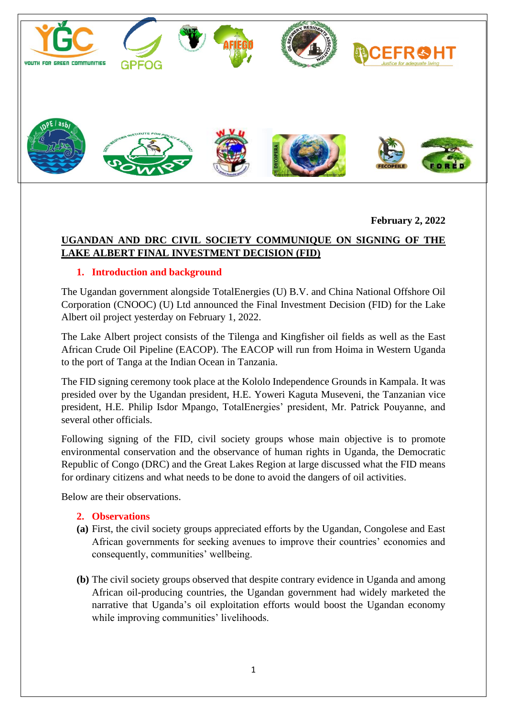

**February 2, 2022**

# **UGANDAN AND DRC CIVIL SOCIETY COMMUNIQUE ON SIGNING OF THE LAKE ALBERT FINAL INVESTMENT DECISION (FID)**

## **1. Introduction and background**

The Ugandan government alongside TotalEnergies (U) B.V. and China National Offshore Oil Corporation (CNOOC) (U) Ltd announced the Final Investment Decision (FID) for the Lake Albert oil project yesterday on February 1, 2022.

The Lake Albert project consists of the Tilenga and Kingfisher oil fields as well as the East African Crude Oil Pipeline (EACOP). The EACOP will run from Hoima in Western Uganda to the port of Tanga at the Indian Ocean in Tanzania.

The FID signing ceremony took place at the Kololo Independence Grounds in Kampala. It was presided over by the Ugandan president, H.E. Yoweri Kaguta Museveni, the Tanzanian vice president, H.E. Philip Isdor Mpango, TotalEnergies' president, Mr. Patrick Pouyanne, and several other officials.

Following signing of the FID, civil society groups whose main objective is to promote environmental conservation and the observance of human rights in Uganda, the Democratic Republic of Congo (DRC) and the Great Lakes Region at large discussed what the FID means for ordinary citizens and what needs to be done to avoid the dangers of oil activities.

Below are their observations.

## **2. Observations**

- **(a)** First, the civil society groups appreciated efforts by the Ugandan, Congolese and East African governments for seeking avenues to improve their countries' economies and consequently, communities' wellbeing.
- **(b)** The civil society groups observed that despite contrary evidence in Uganda and among African oil-producing countries, the Ugandan government had widely marketed the narrative that Uganda's oil exploitation efforts would boost the Ugandan economy while improving communities' livelihoods.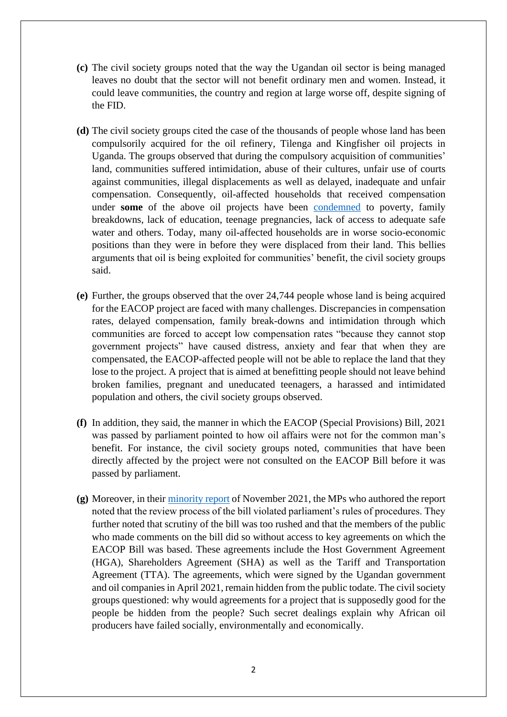- **(c)** The civil society groups noted that the way the Ugandan oil sector is being managed leaves no doubt that the sector will not benefit ordinary men and women. Instead, it could leave communities, the country and region at large worse off, despite signing of the FID.
- **(d)** The civil society groups cited the case of the thousands of people whose land has been compulsorily acquired for the oil refinery, Tilenga and Kingfisher oil projects in Uganda. The groups observed that during the compulsory acquisition of communities' land, communities suffered intimidation, abuse of their cultures, unfair use of courts against communities, illegal displacements as well as delayed, inadequate and unfair compensation. Consequently, oil-affected households that received compensation under **some** of the above oil projects have been [condemned](https://www.afiego.org/download/afiego-research-report-impacts-of-oil-refinery-project-on-the-affected-people/?wpdmdl=2051&refresh=61f7eda5ea1a41643638181) to poverty, family breakdowns, lack of education, teenage pregnancies, lack of access to adequate safe water and others. Today, many oil-affected households are in worse socio-economic positions than they were in before they were displaced from their land. This bellies arguments that oil is being exploited for communities' benefit, the civil society groups said.
- **(e)** Further, the groups observed that the over 24,744 people whose land is being acquired for the EACOP project are faced with many challenges. Discrepancies in compensation rates, delayed compensation, family break-downs and intimidation through which communities are forced to accept low compensation rates "because they cannot stop government projects" have caused distress, anxiety and fear that when they are compensated, the EACOP-affected people will not be able to replace the land that they lose to the project. A project that is aimed at benefitting people should not leave behind broken families, pregnant and uneducated teenagers, a harassed and intimidated population and others, the civil society groups observed.
- **(f)** In addition, they said, the manner in which the EACOP (Special Provisions) Bill, 2021 was passed by parliament pointed to how oil affairs were not for the common man's benefit. For instance, the civil society groups noted, communities that have been directly affected by the project were not consulted on the EACOP Bill before it was passed by parliament.
- **(g)** Moreover, in their [minority report](https://parliamentwatch.ug/wp-content/uploads/2021/12/Minority-Report-on-the-East-African-Crude-Oil-Pipeline-EACOPSpecial-Provision-1.pdf?x25532) of November 2021, the MPs who authored the report noted that the review process of the bill violated parliament's rules of procedures. They further noted that scrutiny of the bill was too rushed and that the members of the public who made comments on the bill did so without access to key agreements on which the EACOP Bill was based. These agreements include the Host Government Agreement (HGA), Shareholders Agreement (SHA) as well as the Tariff and Transportation Agreement (TTA). The agreements, which were signed by the Ugandan government and oil companies in April 2021, remain hidden from the public todate. The civil society groups questioned: why would agreements for a project that is supposedly good for the people be hidden from the people? Such secret dealings explain why African oil producers have failed socially, environmentally and economically.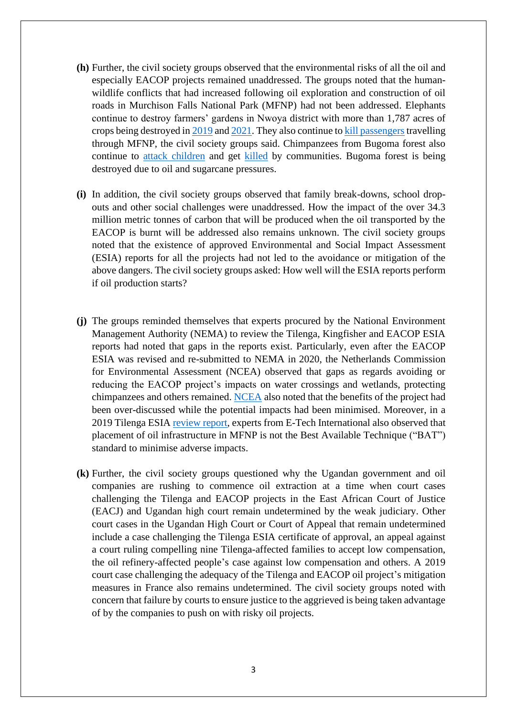- **(h)** Further, the civil society groups observed that the environmental risks of all the oil and especially EACOP projects remained unaddressed. The groups noted that the humanwildlife conflicts that had increased following oil exploration and construction of oil roads in Murchison Falls National Park (MFNP) had not been addressed. Elephants continue to destroy farmers' gardens in Nwoya district with more than 1,787 acres of crops being destroyed in  $2019$  and  $2021$ . They also continue to [kill passengers](https://www.ntv.co.ug/ug/news/national/elephant-kills-traveller-in-murchison-falls-national-park-3694860) travelling through MFNP, the civil society groups said. Chimpanzees from Bugoma forest also continue to [attack children](https://kazi-njemanews.com/baby-dies-from-chimpanzee-attack-injuries-in-hoima/) and get [killed](https://www.savetheelephants.org/about-elephants-2-3-2/elephant-news-post/?detail=suspected-uganda-chimpanzee-killer-could-get-life-in-prison) by communities. Bugoma forest is being destroyed due to oil and sugarcane pressures.
- **(i)** In addition, the civil society groups observed that family break-downs, school dropouts and other social challenges were unaddressed. How the impact of the over 34.3 million metric tonnes of carbon that will be produced when the oil transported by the EACOP is burnt will be addressed also remains unknown. The civil society groups noted that the existence of approved Environmental and Social Impact Assessment (ESIA) reports for all the projects had not led to the avoidance or mitigation of the above dangers. The civil society groups asked: How well will the ESIA reports perform if oil production starts?
- **(j)** The groups reminded themselves that experts procured by the National Environment Management Authority (NEMA) to review the Tilenga, Kingfisher and EACOP ESIA reports had noted that gaps in the reports exist. Particularly, even after the EACOP ESIA was revised and re-submitted to NEMA in 2020, the Netherlands Commission for Environmental Assessment (NCEA) observed that gaps as regards avoiding or reducing the EACOP project's impacts on water crossings and wetlands, protecting chimpanzees and others remained. [NCEA](https://www.eia.nl/docs/os/i72/i7228/7228_website_versie_advisory_report_eacop_uganda_22_october.pdf) also noted that the benefits of the project had been over-discussed while the potential impacts had been minimised. Moreover, in a 2019 Tilenga ESIA [review report,](https://protectourcommunities.org/wp-content/uploads/2020/09/2019-12-19-E-Tech-evaluation-of-Total-Tilenga-ESIA.pdf) experts from E-Tech International also observed that placement of oil infrastructure in MFNP is not the Best Available Technique ("BAT") standard to minimise adverse impacts.
- **(k)** Further, the civil society groups questioned why the Ugandan government and oil companies are rushing to commence oil extraction at a time when court cases challenging the Tilenga and EACOP projects in the East African Court of Justice (EACJ) and Ugandan high court remain undetermined by the weak judiciary. Other court cases in the Ugandan High Court or Court of Appeal that remain undetermined include a case challenging the Tilenga ESIA certificate of approval, an appeal against a court ruling compelling nine Tilenga-affected families to accept low compensation, the oil refinery-affected people's case against low compensation and others. A 2019 court case challenging the adequacy of the Tilenga and EACOP oil project's mitigation measures in France also remains undetermined. The civil society groups noted with concern that failure by courts to ensure justice to the aggrieved is being taken advantage of by the companies to push on with risky oil projects.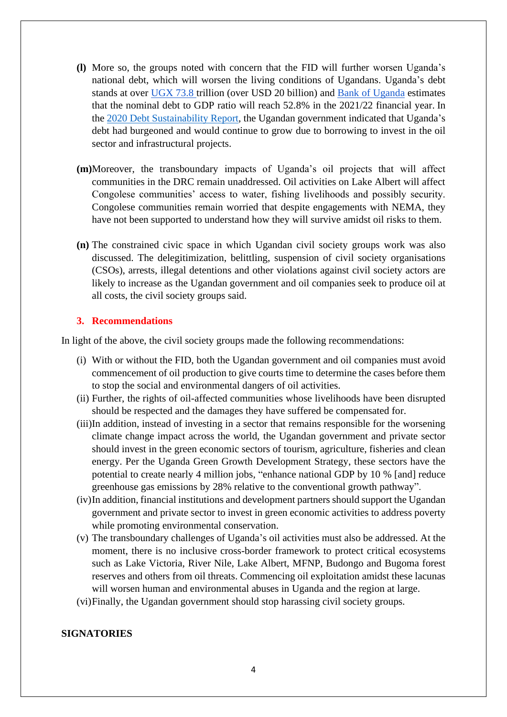- **(l)** More so, the groups noted with concern that the FID will further worsen Uganda's national debt, which will worsen the living conditions of Ugandans. Uganda's debt stands at over [UGX 73.8](https://www.independent.co.ug/ugandas-public-debt-rises-to-ugx-73-trillion/) trillion (over USD 20 billion) and [Bank of Uganda](https://www.bou.or.ug/bou/bouwebsite/bouwebsitecontent/publications/QuartelyStateofEconomy/publications/Quarterly-Economic-Reports/2021/Jun/State-of-Economy-Report-June-2021.pdf) estimates that the nominal debt to GDP ratio will reach 52.8% in the 2021/22 financial year. In the [2020 Debt Sustainability Report,](https://finance.go.ug/sites/default/files/Publications/DEBT%20SUSTAINABILITY%20ANALYSIS%20REPORT%20DECEMBER%202020_FINAL.pdf) the Ugandan government indicated that Uganda's debt had burgeoned and would continue to grow due to borrowing to invest in the oil sector and infrastructural projects.
- **(m)**Moreover, the transboundary impacts of Uganda's oil projects that will affect communities in the DRC remain unaddressed. Oil activities on Lake Albert will affect Congolese communities' access to water, fishing livelihoods and possibly security. Congolese communities remain worried that despite engagements with NEMA, they have not been supported to understand how they will survive amidst oil risks to them.
- **(n)** The constrained civic space in which Ugandan civil society groups work was also discussed. The delegitimization, belittling, suspension of civil society organisations (CSOs), arrests, illegal detentions and other violations against civil society actors are likely to increase as the Ugandan government and oil companies seek to produce oil at all costs, the civil society groups said.

#### **3. Recommendations**

In light of the above, the civil society groups made the following recommendations:

- (i) With or without the FID, both the Ugandan government and oil companies must avoid commencement of oil production to give courts time to determine the cases before them to stop the social and environmental dangers of oil activities.
- (ii) Further, the rights of oil-affected communities whose livelihoods have been disrupted should be respected and the damages they have suffered be compensated for.
- (iii)In addition, instead of investing in a sector that remains responsible for the worsening climate change impact across the world, the Ugandan government and private sector should invest in the green economic sectors of tourism, agriculture, fisheries and clean energy. Per the Uganda Green Growth Development Strategy, these sectors have the potential to create nearly 4 million jobs, "enhance national GDP by 10 % [and] reduce greenhouse gas emissions by 28% relative to the conventional growth pathway".
- (iv)In addition, financial institutions and development partners should support the Ugandan government and private sector to invest in green economic activities to address poverty while promoting environmental conservation.
- (v) The transboundary challenges of Uganda's oil activities must also be addressed. At the moment, there is no inclusive cross-border framework to protect critical ecosystems such as Lake Victoria, River Nile, Lake Albert, MFNP, Budongo and Bugoma forest reserves and others from oil threats. Commencing oil exploitation amidst these lacunas will worsen human and environmental abuses in Uganda and the region at large.
- (vi)Finally, the Ugandan government should stop harassing civil society groups.

#### **SIGNATORIES**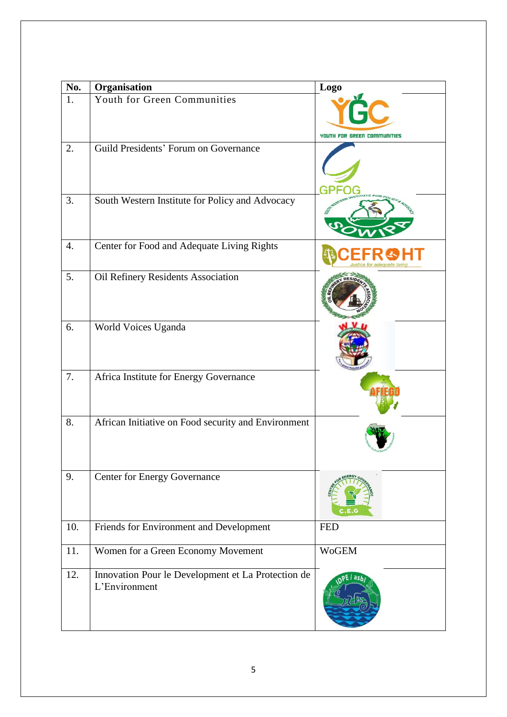| No. | Organisation                                                        | <b>Logo</b>                 |
|-----|---------------------------------------------------------------------|-----------------------------|
| 1.  | Youth for Green Communities                                         | YOUTH FOR GREEN COMMUNITIES |
| 2.  | Guild Presidents' Forum on Governance                               |                             |
| 3.  | South Western Institute for Policy and Advocacy                     |                             |
| 4.  | Center for Food and Adequate Living Rights                          |                             |
| 5.  | Oil Refinery Residents Association                                  |                             |
| 6.  | World Voices Uganda                                                 |                             |
| 7.  | Africa Institute for Energy Governance                              |                             |
| 8.  | African Initiative on Food security and Environment                 |                             |
| 9.  | <b>Center for Energy Governance</b>                                 |                             |
| 10. | Friends for Environment and Development                             | <b>FED</b>                  |
| 11. | Women for a Green Economy Movement                                  | <b>WoGEM</b>                |
| 12. | Innovation Pour le Development et La Protection de<br>L'Environment | ash                         |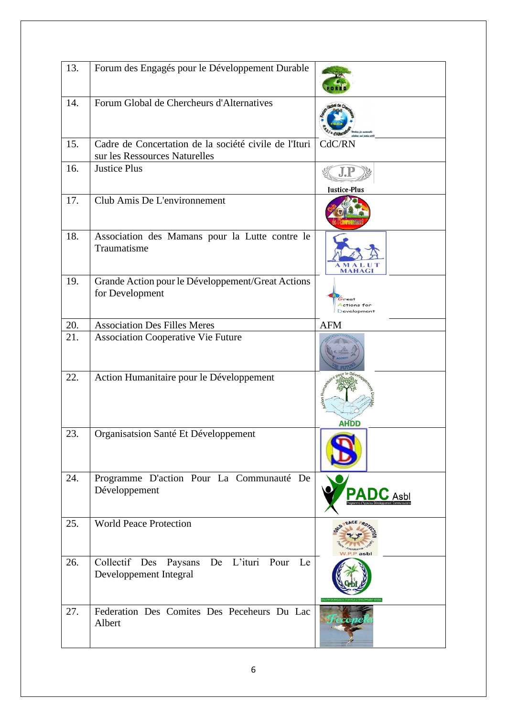| 13. | Forum des Engagés pour le Développement Durable                                        |                                            |
|-----|----------------------------------------------------------------------------------------|--------------------------------------------|
| 14. | Forum Global de Chercheurs d'Alternatives                                              |                                            |
| 15. | Cadre de Concertation de la société civile de l'Ituri<br>sur les Ressources Naturelles | CdC/RN                                     |
| 16. | <b>Justice Plus</b>                                                                    | <b>Justice-Plus</b>                        |
| 17. | Club Amis De L'environnement                                                           |                                            |
| 18. | Association des Mamans pour la Lutte contre le<br>Traumatisme                          | <b>MAHAGI</b>                              |
| 19. | Grande Action pour le Développement/Great Actions<br>for Development                   | Great<br>Actions for<br><b>Development</b> |
| 20. | <b>Association Des Filles Meres</b>                                                    | <b>AFM</b>                                 |
| 21. | <b>Association Cooperative Vie Future</b>                                              |                                            |
| 22. | Action Humanitaire pour le Développement                                               | ion Hu <sub>m</sub><br>AHDD                |
| 23. | Organisatsion Santé Et Développement                                                   |                                            |
| 24. | Programme D'action Pour La Communauté De<br>Développement                              |                                            |
| 25. | <b>World Peace Protection</b>                                                          | asb                                        |
| 26. | De L'ituri<br>Collectif Des<br>Pour<br>Le<br>Paysans<br>Developpement Integral         |                                            |
| 27. | Federation Des Comites Des Peceheurs Du Lac<br>Albert                                  |                                            |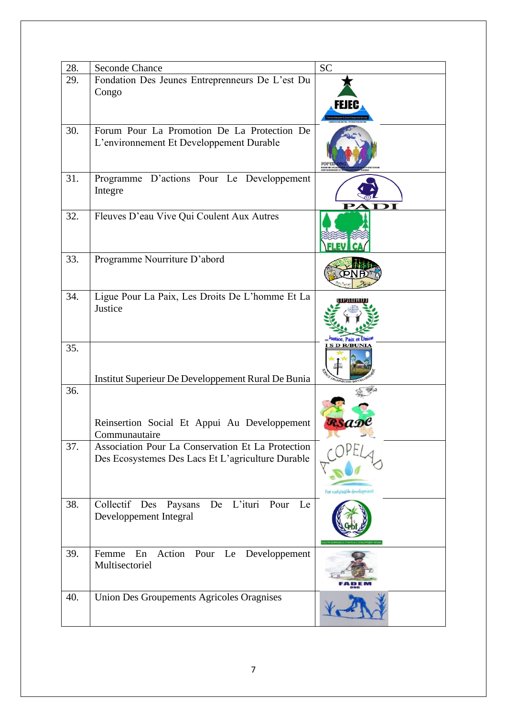| 28. | <b>Seconde Chance</b>                                                                                  | <b>SC</b>                   |
|-----|--------------------------------------------------------------------------------------------------------|-----------------------------|
| 29. | Fondation Des Jeunes Entreprenneurs De L'est Du<br>Congo                                               | ни                          |
| 30. | Forum Pour La Promotion De La Protection De<br>L'environnement Et Developpement Durable                |                             |
| 31. | Programme D'actions Pour Le Developpement<br>Integre                                                   |                             |
| 32. | Fleuves D'eau Vive Qui Coulent Aux Autres                                                              |                             |
| 33. | Programme Nourriture D'abord                                                                           |                             |
| 34. | Ligue Pour La Paix, Les Droits De L'homme Et La<br>Justice                                             |                             |
| 35. | Institut Superieur De Developpement Rural De Bunia                                                     | <b>SDR/BUNI</b>             |
| 36. | Reinsertion Social Et Appui Au Developpement<br>Communautaire                                          |                             |
| 37. | Association Pour La Conservation Et La Protection<br>Des Ecosystemes Des Lacs Et L'agriculture Durable | For sustainable development |
| 38. | Collectif<br>L'ituri<br>Des<br>Paysans<br>De<br>Pour<br>Le<br>Developpement Integral                   |                             |
| 39. | Action<br>Pour<br>Le<br>Femme<br>Developpement<br>En<br>Multisectoriel                                 |                             |
| 40. | <b>Union Des Groupements Agricoles Oragnises</b>                                                       |                             |